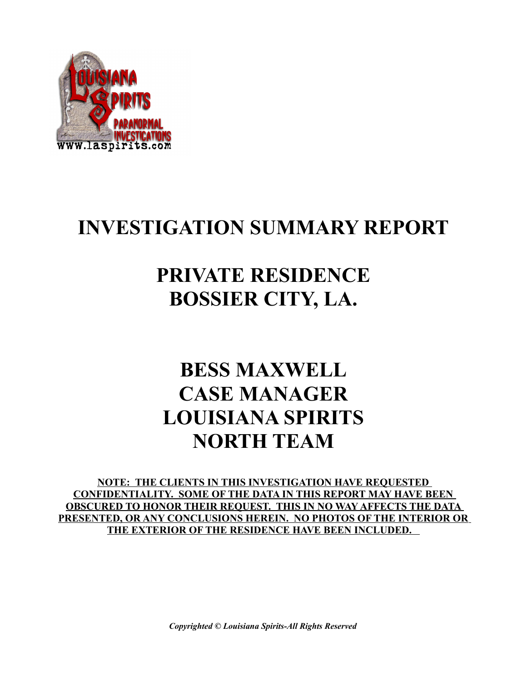

## **INVESTIGATION SUMMARY REPORT**

# **PRIVATE RESIDENCE BOSSIER CITY, LA.**

# **BESS MAXWELL CASE MANAGER LOUISIANA SPIRITS NORTH TEAM**

**NOTE: THE CLIENTS IN THIS INVESTIGATION HAVE REQUESTED CONFIDENTIALITY. SOME OF THE DATA IN THIS REPORT MAY HAVE BEEN OBSCURED TO HONOR THEIR REQUEST. THIS IN NO WAY AFFECTS THE DATA PRESENTED, OR ANY CONCLUSIONS HEREIN. NO PHOTOS OF THE INTERIOR OR THE EXTERIOR OF THE RESIDENCE HAVE BEEN INCLUDED.** 

*Copyrighted © Louisiana Spirits-All Rights Reserved*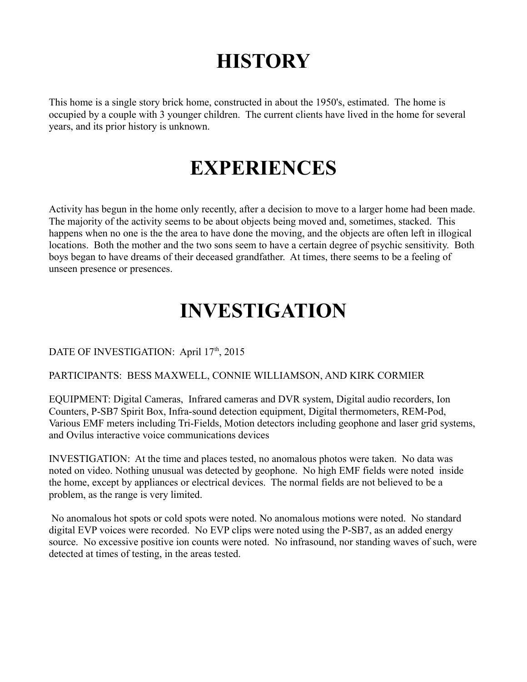# **HISTORY**

This home is a single story brick home, constructed in about the 1950's, estimated. The home is occupied by a couple with 3 younger children. The current clients have lived in the home for several years, and its prior history is unknown.

### **EXPERIENCES**

Activity has begun in the home only recently, after a decision to move to a larger home had been made. The majority of the activity seems to be about objects being moved and, sometimes, stacked. This happens when no one is the the area to have done the moving, and the objects are often left in illogical locations. Both the mother and the two sons seem to have a certain degree of psychic sensitivity. Both boys began to have dreams of their deceased grandfather. At times, there seems to be a feeling of unseen presence or presences.

## **INVESTIGATION**

#### DATE OF INVESTIGATION: April 17<sup>th</sup>, 2015

#### PARTICIPANTS: BESS MAXWELL, CONNIE WILLIAMSON, AND KIRK CORMIER

EQUIPMENT: Digital Cameras, Infrared cameras and DVR system, Digital audio recorders, Ion Counters, P-SB7 Spirit Box, Infra-sound detection equipment, Digital thermometers, REM-Pod, Various EMF meters including Tri-Fields, Motion detectors including geophone and laser grid systems, and Ovilus interactive voice communications devices

INVESTIGATION: At the time and places tested, no anomalous photos were taken. No data was noted on video. Nothing unusual was detected by geophone. No high EMF fields were noted inside the home, except by appliances or electrical devices. The normal fields are not believed to be a problem, as the range is very limited.

 No anomalous hot spots or cold spots were noted. No anomalous motions were noted. No standard digital EVP voices were recorded. No EVP clips were noted using the P-SB7, as an added energy source. No excessive positive ion counts were noted. No infrasound, nor standing waves of such, were detected at times of testing, in the areas tested.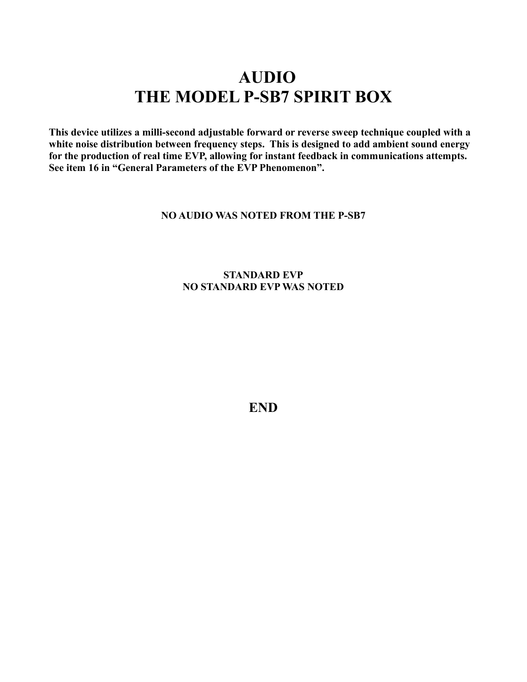### **AUDIO THE MODEL P-SB7 SPIRIT BOX**

**This device utilizes a milli-second adjustable forward or reverse sweep technique coupled with a white noise distribution between frequency steps. This is designed to add ambient sound energy for the production of real time EVP, allowing for instant feedback in communications attempts. See item 16 in "General Parameters of the EVP Phenomenon".** 

#### **NO AUDIO WAS NOTED FROM THE P-SB7**

#### **STANDARD EVP NO STANDARD EVP WAS NOTED**

**END**